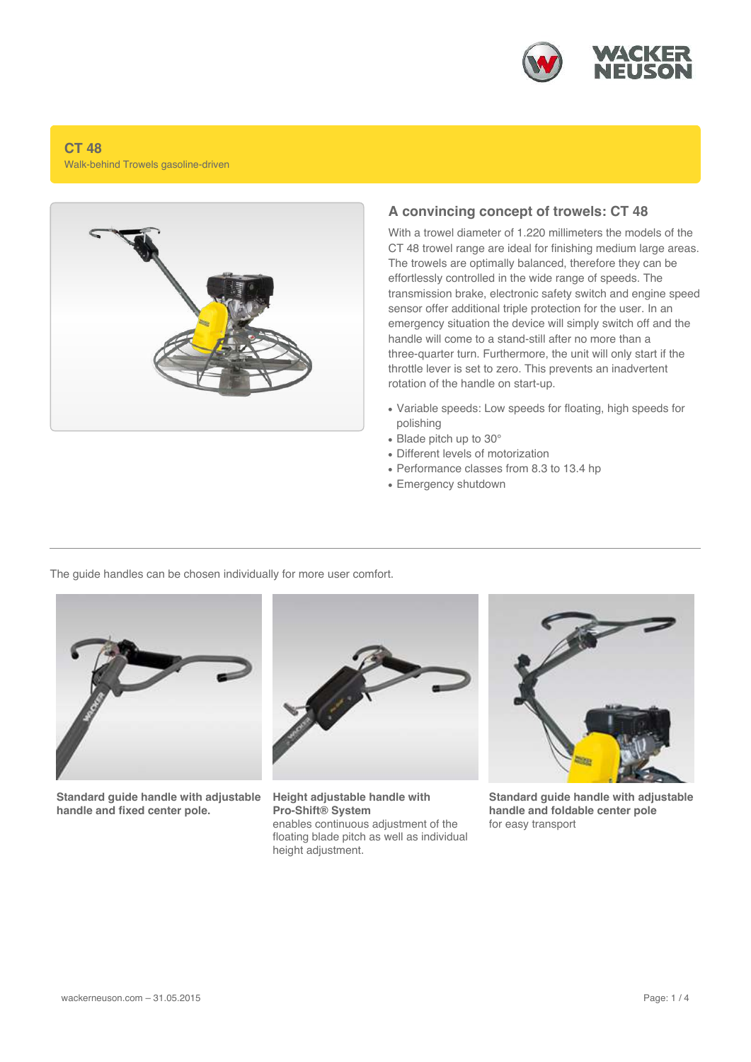

## **CT 48** Walk-behind Trowels gasoline-driven



## **A convincing concept of trowels: CT 48**

With a trowel diameter of 1.220 millimeters the models of the CT 48 trowel range are ideal for finishing medium large areas. The trowels are optimally balanced, therefore they can be effortlessly controlled in the wide range of speeds. The transmission brake, electronic safety switch and engine speed sensor offer additional triple protection for the user. In an emergency situation the device will simply switch off and the handle will come to a stand-still after no more than a three-quarter turn. Furthermore, the unit will only start if the throttle lever is set to zero. This prevents an inadvertent rotation of the handle on start-up.

- Variable speeds: Low speeds for floating, high speeds for polishing
- $\bullet$  Blade pitch up to 30 $^{\circ}$
- Different levels of motorization
- Performance classes from 8.3 to 13.4 hp
- Emergency shutdown

The guide handles can be chosen individually for more user comfort.



**Standard guide handle with adjustable handle and fixed center pole.**



**Height adjustable handle with Pro-Shift® System** enables continuous adjustment of the floating blade pitch as well as individual height adjustment.



**Standard guide handle with adjustable handle and foldable center pole** for easy transport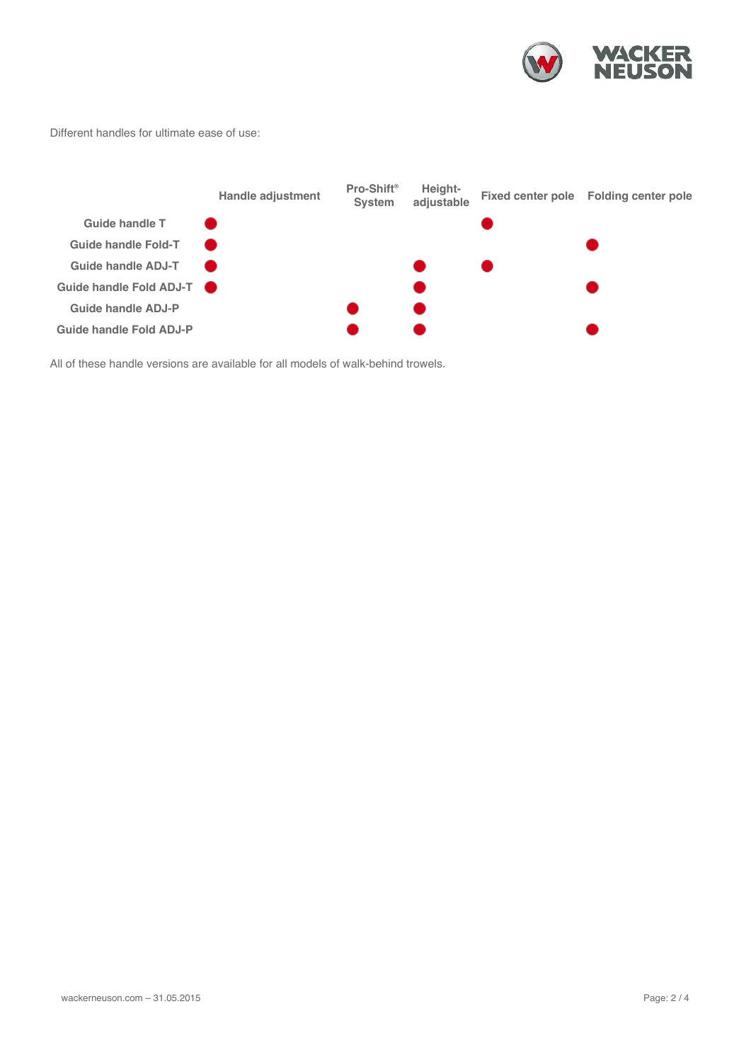

Different handles for ultimate ease of use:

|                            | Handle adjustment | Pro-Shift <sup>®</sup><br><b>System</b> | Height-<br>adjustable | Fixed center pole Folding center pole |
|----------------------------|-------------------|-----------------------------------------|-----------------------|---------------------------------------|
| Guide handle T             |                   |                                         |                       |                                       |
| <b>Guide handle Fold-T</b> |                   |                                         |                       |                                       |
| <b>Guide handle ADJ-T</b>  |                   |                                         |                       |                                       |
| Guide handle Fold ADJ-T    |                   |                                         |                       |                                       |
| Guide handle ADJ-P         |                   |                                         |                       |                                       |
| Guide handle Fold ADJ-P    |                   |                                         |                       |                                       |
|                            |                   |                                         |                       |                                       |

All of these handle versions are available for all models of walk-behind trowels.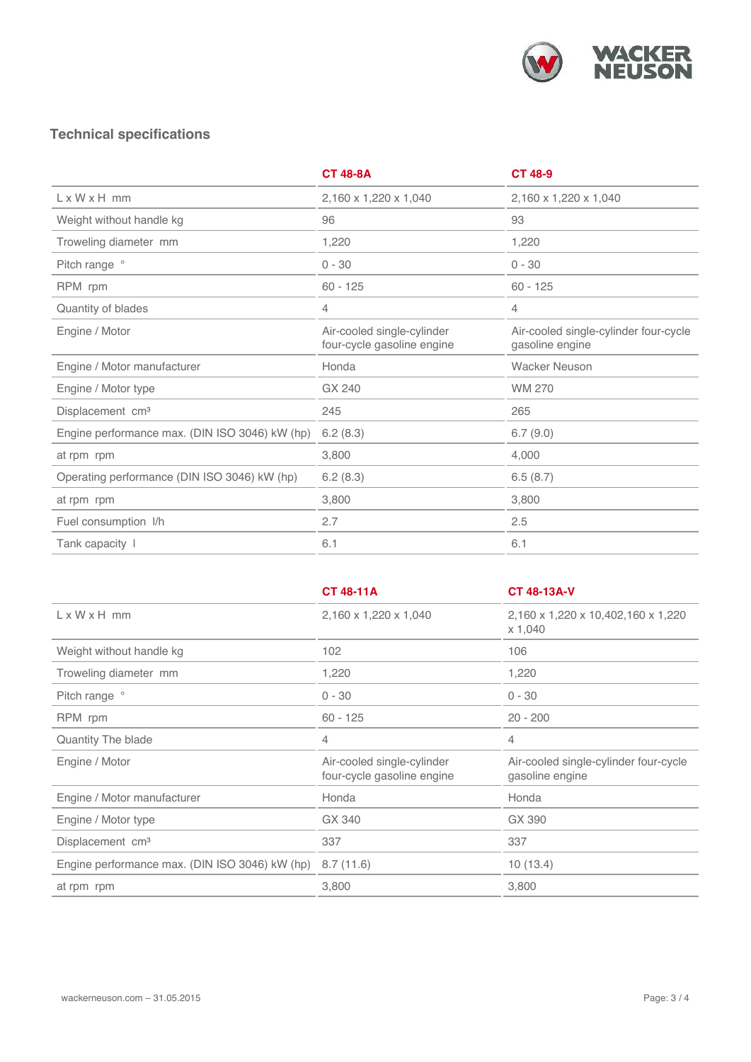

## **Technical specifications**

|                                                | <b>CT 48-8A</b>                                          | <b>CT 48-9</b>                                           |
|------------------------------------------------|----------------------------------------------------------|----------------------------------------------------------|
| $L \times W \times H$ mm                       | 2,160 x 1,220 x 1,040                                    | 2,160 x 1,220 x 1,040                                    |
| Weight without handle kg                       | 96                                                       | 93                                                       |
| Troweling diameter mm                          | 1,220                                                    | 1,220                                                    |
| Pitch range °                                  | $0 - 30$                                                 | $0 - 30$                                                 |
| RPM rpm                                        | $60 - 125$                                               | $60 - 125$                                               |
| Quantity of blades                             | 4                                                        | 4                                                        |
| Engine / Motor                                 | Air-cooled single-cylinder<br>four-cycle gasoline engine | Air-cooled single-cylinder four-cycle<br>gasoline engine |
| Engine / Motor manufacturer                    | Honda                                                    | <b>Wacker Neuson</b>                                     |
| Engine / Motor type                            | GX 240                                                   | <b>WM 270</b>                                            |
| Displacement cm <sup>3</sup>                   | 245                                                      | 265                                                      |
| Engine performance max. (DIN ISO 3046) kW (hp) | 6.2(8.3)                                                 | 6.7(9.0)                                                 |
| at rpm rpm                                     | 3,800                                                    | 4,000                                                    |
| Operating performance (DIN ISO 3046) kW (hp)   | 6.2(8.3)                                                 | 6.5(8.7)                                                 |
| at rpm rpm                                     | 3,800                                                    | 3,800                                                    |
| Fuel consumption I/h                           | 2.7                                                      | 2.5                                                      |
| Tank capacity I                                | 6.1                                                      | 6.1                                                      |

|                                                | <b>CT 48-11A</b>                                         | <b>CT 48-13A-V</b>                                       |
|------------------------------------------------|----------------------------------------------------------|----------------------------------------------------------|
| $L \times W \times H$ mm                       | 2,160 x 1,220 x 1,040                                    | 2,160 x 1,220 x 10,402,160 x 1,220<br>x 1,040            |
| Weight without handle kg                       | 102                                                      | 106                                                      |
| Troweling diameter mm                          | 1,220                                                    | 1,220                                                    |
| Pitch range °                                  | $0 - 30$                                                 | $0 - 30$                                                 |
| RPM rpm                                        | $60 - 125$                                               | $20 - 200$                                               |
| Quantity The blade                             | 4                                                        | 4                                                        |
| Engine / Motor                                 | Air-cooled single-cylinder<br>four-cycle gasoline engine | Air-cooled single-cylinder four-cycle<br>gasoline engine |
| Engine / Motor manufacturer                    | Honda                                                    | Honda                                                    |
| Engine / Motor type                            | GX 340                                                   | GX 390                                                   |
| Displacement cm <sup>3</sup>                   | 337                                                      | 337                                                      |
| Engine performance max. (DIN ISO 3046) kW (hp) | 8.7(11.6)                                                | 10(13.4)                                                 |
| at rpm rpm                                     | 3,800                                                    | 3,800                                                    |